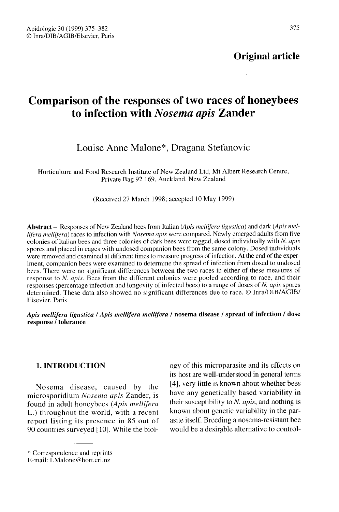Original article

## Comparison of the responses of two races of honeybees to infection with Nosema apis Zander

### Louise Anne Malone\*, Dragana Stefanovic

Horticulture and Food Research Institute of New Zealand Ltd, Mt Albert Research Centre, Private Bag 92 169, Auckland, New Zealand

(Received 27 March 1998; accepted 10 May 1999)

Abstract - Responses of New Zealand bees from Italian (Apis mellifera ligustica) and dark (Apis mellifera mellifera) races to infection with Nosema apis were compared. Newly emerged adults from five colonies of Italian bees and three colonies of dark bees were tagged, dosed individually with N. apis spores and placed in cages with undosed companion bees from the same colony. Dosed individuals were removed and examined at different times to measure progress of infection. At the end of the experiment, companion bees were examined to determine the spread of infection from dosed to undosed bees. There were no significant differences between the two races in either of these measures of response to N. apis. Bees from the different colonies were pooled according to race, and their responses (percentage infection and longevity of infected bees) to a range of doses of N. apis spores determined. These data also showed no significant differences due to race. © Inra/DIB/AGIB/ Elsevier, Paris

Apis mellifera ligustica / Apis mellifera mellifera / nosema disease / spread of infection / dose response / tolerance

#### 1. INTRODUCTION

Nosema disease, caused by the microsporidium Nosema apis Zander, is found in adult honeybees (Apis mellifera L.) throughout the world, with a recent report listing its presence in 85 out of 90 countries surveyed [10]. While the biol-

ogy of this microparasite and its effects on its host are well-understood in general terms [4], very little is known about whether bees have any genetically based variability in their susceptibility to  $N$ . apis, and nothing is known about genetic variability in the parasite itself. Breeding a nosema-resistant bee would be a desirable alternative to control-

<sup>\*</sup> Correspondence and reprints

E-mail: LMalone@hort.cri.nz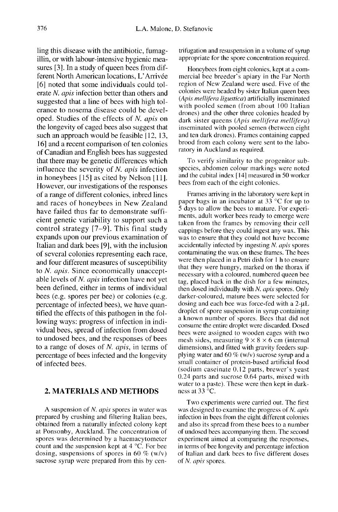ling this disease with the antibiotic, fumagillin, or with labour-intensive hygienic measures [3]. In a study of queen bees from different North American locations, L'Arrivée [6] noted that some individuals could tolerate N. apis infection better than others and suggested that a line of bees with high tolerance to nosema disease could be developed. Studies of the effects of N. apis on the longevity of caged bees also suggest that such an approach would be feasible [12, 13, 16] and a recent comparison of ten colonies of Canadian and English bees has suggested that there may be genetic differences which influence the severity of  $N$ . apis infection in honeybees [15] as cited by Nelson [11]. However, our investigations of the responses of a range of different colonies, inbred lines and races of honeybees in New Zealand have failed thus far to demonstrate sufficient genetic variability to support such a control strategy [7-9]. This final study expands upon our previous examination of Italian and dark bees [9], with the inclusion of several colonies representing each race, and four different measures of susceptibility to N. apis. Since economically unacceptable levels of N. apis infection have not yet been defined, either in terms of individual bees (e.g. spores per bee) or colonies (e.g. percentage of infected bees), we have quantified the effects of this pathogen in the following ways: progress of infection in individual bees, spread of infection from dosed to undosed bees, and the responses of bees to a range of doses of N. apis, in terms of percentage of bees infected and the longevity of infected bees.

#### 2. MATERIALS AND METHODS

A suspension of N. apis spores in water was prepared by crushing and filtering Italian bees,<br>obtained from a naturally infected colony kept at Ponsonby, Auckland. The concentration of spores was determined by a haemacytometer count and the suspension kept at 4 °C. For bee dosing, suspensions of spores in 60  $\%$  (w/v) sucrose syrup were prepared from this by centrifugation and resuspension in a volume of syrup appropriate for the spore concentration required.

Honeybees from eight colonies, kept at a commercial bee breeder's apiary in the Far North region of New Zealand were used. Five of the colonies were headed by sister Italian queen bees (Apis mellifera ligustica) artificially inseminated with pooled semen (from about 100 Italian drones) and the other three colonies headed by dark sister queens (Apis mellifera mellifera) inseminated with pooled semen (between eight and ten dark drones). Frames containing capped brood from each colony were sent to the laboratory in Auckland as required.

To verify similarity to the progenitor subspecies, abdomen colour markings were noted and the cubital index [14] measured in 50 worker bees from each of the eight colonies.

Frames arriving in the laboratory were kept in paper bags in an incubator at 33 °C for up to 5 days to allow the bees to mature. For experiments, adult worker bees ready to emerge were taken from the frames by removing their cell cappings before they could ingest any wax. This was to ensure that they could not have become accidentally infected by ingesting N. apis spores contaminating the wax on these frames. The bees were then placed in a Petri dish for I h to ensure that they were hungry, marked on the thorax if necessary with a coloured, numbered queen bee tag, placed back in the dish for a few minutes, then dosed individually with N. apis spores. Only darker-coloured, mature bees were selected for dosing and each bee was force-fed with a 2-μL<br>droplet of spore suspension in syrup containing a known number of spores. Bees that did not consume the entire droplet were discarded. Dosed bees were assigned to wooden cages with two mesh sides, measuring  $9 \times 8 \times 6$  cm (internal dimensions), and fitted with gravity feeders supplying water and 60  $\%$  (w/v) sucrose syrup and a small container of protein-based artificial food (sodium caseinate 0.12 parts, brewer's yeast 0.24 parts and sucrose 0.64 parts, mixed with water to a paste). These were then kept in darkness at 33 °C.

Two experiments were carried out. The first was designed to examine the progress of N. apis infection in bees from the eight different colonies and also its spread from these bees to a number of undosed bees accompanying them. The second experiment aimed at comparing the responses, in terms of bee longevity and percentage infection of Italian and dark bees to five different doses of N. apis spores.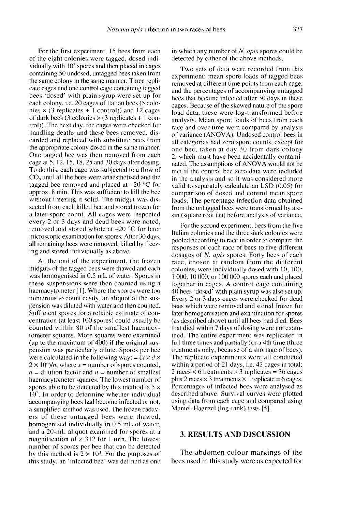For the first experiment, 15 bees from each of the eight colonies were tagged, dosed individually with  $10<sup>5</sup>$  spores and then placed in cages containing 50 undosed, untagged bees taken from the same colony in the same manner. Three repli cate cages and one control cage containing tagged bees 'dosed' with plain syrup were set up for each colony, i.e. 20 cages of Italian bees (5 colonies  $\times$  (3 replicates + 1 control)) and 12 cages of dark bees (3 colonies  $\times$  (3 replicates + 1 control)). The next day, the cages were checked for handling deaths and these bees removed, discarded and replaced with substitute bees from the appropriate colony dosed in the same manner. One tagged bee was then removed from each cage at 5, 12, 15, 18, 25 and 30 days after dosing. To do this, each cage was subjected to a flow of  $CO<sub>2</sub>$  until all the bees were anaesthetised and the  $CO<sub>2</sub>$  of the state of the state of the state of the state of the state of the state of the state of the state tagged bee removed and placed at  $-20$  °C for approx. 8 min. This was sufficient to kill the bee without freezing it solid. The midgut was dissected from each killed bee and stored frozen for a later spore count. All cages were inspected every 2 or 3 days and dead bees were noted, removed and stored whole at  $-20$  °C for later microscopic examination for spores. After 30 days, all remaining bees were removed, killed by freezing and stored individually as above.

At the end of the experiment, the frozen midguts of the tagged bees were thawed and each was homogenised in 0.5 mL of water. Spores in these suspensions were then counted using a haemacytometer [1]. Where the spores were too numerous to count easily, an aliquot of the suspension was diluted with water and then counted. Sufficient spores for a reliable estimate of concentration (at least 100 spores) could usually be tometer squares. More squares were examined (up to the maximum of 400) if the original suspension was particularly dilute. Spores per bee were calculated in the following way: =  $(x \times d \times$ pension was particularly dilute. Spores per bee<br>were calculated in the following way: =  $(x \times d \times 2 \times 10^6)/n$ , where  $x =$  number of spores counted,<br> $d =$  dilution factor and  $n =$  number of smalles  $d =$  dilution factor and  $n =$  number of smallest haemacytometer squares. The lowest number of spores able to be detected by this method is  $5 \times 10^5$ . In order to determine whether individual accompanying bees had become infected or not, a simplified method was used. The frozen cadavers of these untagged bees were thawed, homogenised individually in 0.5 mL of water, and a 20-mL aliquot examined for spores at a magnification of  $\times$  312 for 1 min. The lowest number of spores per bee that can be detected by this method is  $2 \times 10^3$ . For the purposes of this study, an 'infected bee' was defined as one

in which any number of N. *apis* spores could be detected by either of the above methods.

Two sets of data were recorded from this experiment: mean spore loads of tagged bees removed at different time points from each cage, and the percentages of accompanying untagged bees that became infected after 30 days in these cages. Because of the skewed nature of the spore load data, these were log-transformed before analysis. Mean spore loads of bees from each race and over time were compared by analysis of variance (ANOVA). Undosed control bees in all categories had zero spore counts, except for one bee, taken at day 30 from dark colony 2, which must have been accidentally contaminated. The assumptions of ANOVA would not be met if the control bee zero data were included in the analysis and so it was considered more valid to separately calculate an LSD (0.05) for comparison of dosed and control mean spore loads. The percentage infection data obtained from the untagged bees were transformed by arcsin (square root  $(x)$ ) before analysis of variance.

For the second experiment, bees from the five Italian colonies and the three dark colonies were pooled according to race in order to compare the responses of each race of bees to five different dosages of *N. apis* spores. Forty bees of each race, chosen at random from the different colonies, were individually dosed with 10, 100, 1 000, 10 000, or 100 000 spores each and placed together in cages. A control cage containing 40 bees 'dosed' with plain syrup was also set up. Every 2 or 3 days cages were checked for dead bees which were removed and stored frozen for later homogenisation and examination for spores (as described above) until all bees had died. Bees that died within 7 days of dosing were not examined. The entire experiment was replicated in full three times and partially for a 4th time (three treatments only, because of a shortage of bees). The replicate experiments were all conducted within a period of 21 days, i.e. 42 cages in total: 2 races  $\times$  6 treatments  $\times$  3 replicates = 36 cages plus 2 races  $\times$  3 treatments  $\times$  1 replicate = 6 cages. Percentages of infected bees were analysed as described above. Survival curves were plotted using data from each cage and compared using Mantel-Haenzel (log-rank) tests [5].

#### 3. RESULTS AND DISCUSSION

The abdomen colour markings of the bees used in this study were as expected for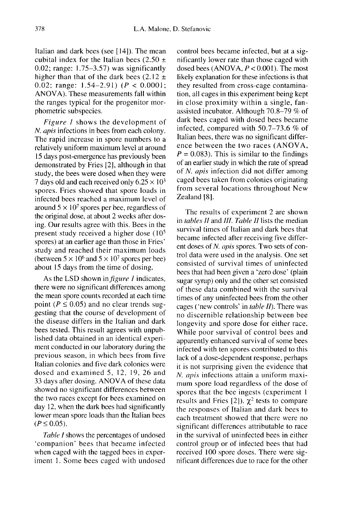Italian and dark bees (see [ 14]). The mean cubital index for the Italian bees  $(2.50 +$ 0.02; range: 1.75-3.57) was significantly higher than that of the dark bees  $(2.12 \pm$ 0.02; range:  $1.54-2.91$ ) ( $P < 0.0001$ ; ANOVA). These measurements fall within the ranges typical for the progenitor morphometric subspecies.

Figure 1 shows the development of N. apis infections in bees from each colony. The rapid increase in spore numbers to a relatively uniform maximum level at around 15 days post-emergence has previously been demonstrated by Fries [2], although in that study, the bees were dosed when they were 7 days old and each received only  $6.25 \times 10^3$ spores. Fries showed that spore loads in infected bees reached a maximum level of around  $5 \times 10^7$  spores per bee, regardless of the original dose, at about 2 weeks after dosing. Our results agree with this. Bees in the present study received a higher dose  $(10<sup>5</sup>)$ spores) at an earlier age than those in Fries'<br>study and reached their maximum loads<br>(between  $5 \times 10^6$  and  $5 \times 10^7$  spores per bee) study and reached their maximum loads<br>(between  $5 \times 10^6$  and  $5 \times 10^7$  spores per bee) about 15 days from the time of dosing.

As the LSD shown in *figure 1* indicates, there were no significant differences among the mean spore counts recorded at each time point ( $P \le 0.05$ ) and no clear trends suggesting that the course of development of the disease differs in the Italian and dark bees tested. This result agrees with unpublished data obtained in an identical experi ment conducted in our laboratory during the previous season, in which bees from five Italian colonies and five dark colonies were dosed and examined 5, 12, 19, 26 and 33 days after dosing. ANOVA of these data showed no significant differences between the two races except for bees examined on day 12, when the dark bees had significantly lower mean spore loads than the Italian bees  $(P \le 0.05)$ .

Table I shows the percentages of undosed 'companion' bees that became infected when caged with the tagged bees in experiment 1. Some bees caged with undosed control bees became infected, but at a significantly lower rate than those caged with dosed bees (ANOVA,  $P < 0.001$ ). The most likely explanation for these infections is that they resulted from cross-cage contamination, all cages in this experiment being kept in close proximity within a single, fanassisted incubator. Although 70.8-79 % of dark bees caged with dosed bees became infected, compared with 50.7-73.6 % of Italian bees, there was no significant difference between the two races (ANOVA,  $P = 0.083$ . This is similar to the findings of an earlier study in which the rate of spread of N. apis infection did not differ among caged bees taken from colonies originating from several locations throughout New Zealand [8].

The results of experiment 2 are shown in tables II and III. Table II lists the median survival times of Italian and dark bees that became infected after receiving five different doses of N. apis spores. Two sets of control data were used in the analysis. One set consisted of survival times of uninfected bees that had been given a 'zero dose' (plain sugar syrup) only and the other set consisted of these data combined with the survival times of any uninfected bees from the other cages ('new controls' in table II). There was no discernible relationship between bee longevity and spore dose for either race. While poor survival of control bees and apparently enhanced survival of some bees infected with ten spores contributed to this lack of a dose-dependent response, perhaps it is not surprising given the evidence that N. apis infections attain a uniform maximum spore load regardless of the dose of spores that the bee ingests (experiment 1 results and Fries [2]).  $\chi^2$  tests to compare the responses of Italian and dark bees to each treatment showed that there were no significant differences attributable to race in the survival of uninfected bees in either control group or of infected bees that had received 100 spore doses. There were significant differences due to race for the other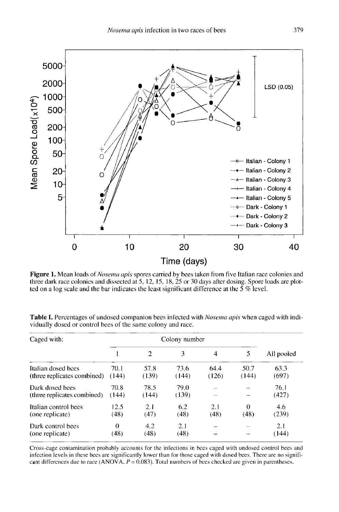

Figure 1. Mean loads of Nosema apis spores carried by bees taken from five Italian race colonies and three dark race colonies and dissected at 5, 12, 15, 18, 25 or 30 days after dosing. Spore loads are plotted on a log scale and the bar indicates the least significant difference at the  $\overline{5}$  % level.

| Caged with:                                       | Colony number    |                             |               |               |                  |               |
|---------------------------------------------------|------------------|-----------------------------|---------------|---------------|------------------|---------------|
|                                                   |                  | $\mathcal{D}_{\mathcal{A}}$ | 3             | 4             | 5                | All pooled    |
| Italian dosed bees<br>(three replicates combined) | 70.1<br>(144)    | 57.8<br>(139)               | 73.6<br>(144) | 64.4<br>(126) | 50.7<br>(144)    | 63.3<br>(697) |
| Dark dosed bees<br>(three replicates combined)    | 70.8<br>(144)    | 78.5<br>(144)               | 79.0<br>(139) |               |                  | 76.1<br>(427) |
| Italian control bees<br>(one replicate)           | 12.5<br>(48)     | 2.1<br>(47)                 | 6.2<br>(48)   | 2.1<br>(48)   | $\Omega$<br>(48) | 4.6<br>(239)  |
| Dark control bees<br>(one replicate)              | $\Omega$<br>(48) | 4.2<br>(48)                 | 2.1<br>(48)   |               |                  | 2.1<br>(144)  |

Table I. Percentages of undosed companion bees infected with *Nosema apis* when caged with individually dosed or control bees of the same colony and race.

Cross-cage contamination probably accounts for the infections in bees caged with undosed control bees and infection levels in these bees are significantly lower than for those caged with dosed bees. There are no significant differences due to race (ANOVA,  $P = 0.083$ ). Total numbers of bees checked are given in parentheses.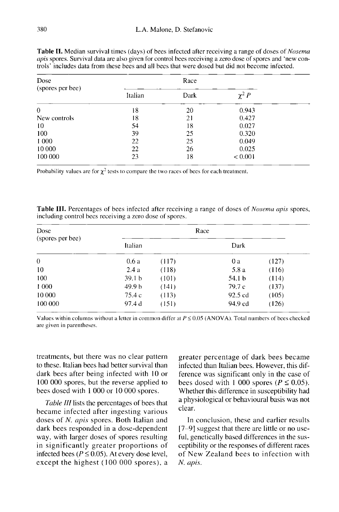| Dose             |         | Race |              |  |
|------------------|---------|------|--------------|--|
| (spores per bee) | Italian | Dark | $\chi^2 P$   |  |
| $\theta$         | 18      | 20   | 0.943        |  |
| New controls     | 18      | 21   | 0.427        |  |
| 10               | 54      | 18   | 0.027        |  |
| 100              | 39      | 25   | 0.320        |  |
| 1 000            | 22      | 25   | 0.049        |  |
| 10 000           | 22      | 26   | 0.025        |  |
| 100 000          | 23      | 18   | ${}_{0.001}$ |  |

Table II. Median survival times (days) of bees infected after receiving a range of doses of *Nosema apis* spores. Survival data are also given for control bees receiving a zero dose of spores and 'new controls' includes data from these bees and all bees that were dosed but did not become infected.

Probability values are for  $\chi^2$  tests to compare the two races of bees for each treatment.

**Table III.** Percentages of bees infected after receiving a range of doses of *Nosema apis* spores, including control bees receiving a zero dose of spores.

| <b>Dose</b><br>(spores per bee)<br>$\theta$ | Race              |       |                   |       |  |  |
|---------------------------------------------|-------------------|-------|-------------------|-------|--|--|
|                                             | Italian           |       | Dark              |       |  |  |
|                                             | 0.6 a             | (117) | 0 a               | (127) |  |  |
| 10                                          | 2.4a              | (118) | 5.8 a             | (116) |  |  |
| 100                                         | 39.1 <sub>b</sub> | (101) | 54.1 <sub>b</sub> | (114) |  |  |
| 1 000                                       | 49.9 <sub>b</sub> | (141) | 79.7 c            | (137) |  |  |
| 10 000                                      | 75.4 c            | (113) | 92.5 cd           | (105) |  |  |
| 100 000                                     | 97.4 d            | (151) | 94.9 cd           | (126) |  |  |

Values within columns without a letter in common differ at  $P \le 0.05$  (ANOVA). Total numbers of bees checked are given in parentheses.

treatments, but there was no clear pattern to these. Italian bees had better survival than dark bees after being infected with 10 or 100 000 spores, but the reverse applied to bees dosed with 1 000 or 10 000 spores.

Table III lists the percentages of bees that became infected after ingesting various doses of N. apis spores. Both Italian and dark bees responded in a dose-dependent way, with larger doses of spores resulting in significantly greater proportions of infected bees ( $P \le 0.05$ ). At every dose level, except the highest (100 000 spores), a

greater percentage of dark bees became infected than Italian bees. However, this difference was significant only in the case of bees dosed with 1 000 spores ( $P \le 0.05$ ). Whether this difference in susceptibility had a physiological or behavioural basis was not clear.

In conclusion, these and earlier results [7-9] suggest that there are little or no useful, genetically based differences in the susceptibility or the responses of different races of New Zealand bees to infection with N. apis.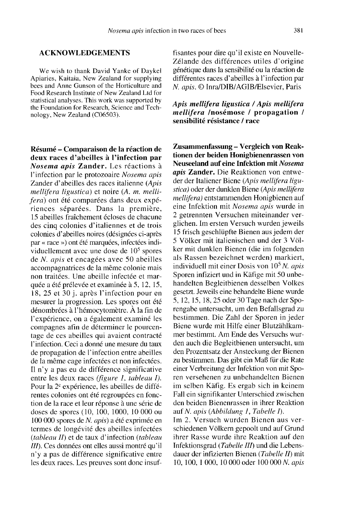#### ACKNOWLEDGEMENTS

We wish to thank David Yanke of Daykel Apiaries, Kaitaia, New Zealand for supplying bees and Anne Gunson of the Horticulture and Food Research Institute of New Zealand Ltd for statistical analyses. This work was supported by the Foundation for Research, Science and Technology, New Zealand (C06503).

Résumé - Comparaison de la réaction de deux races d'abeilles à l'infection par Nosema apis Zander. Les réactions à l'infection par le protozoaire Nosema apis Zander d'abeilles des races italienne (Apis mellifera ligustica) et noire (A. m. mellifera) ont été comparées dans deux expériences séparées. Dans la première, 15 abeilles fraîchement écloses de chacune des cinq colonies d'italiennes et de trois colonies d'abeilles noires (désignées ci-après par « race ») ont été marquées, infectées individuellement avec une dose de 105 spores de N. apis et encagées avec 50 abeilles accompagnatrices de la même colonie mais non traitées. Une abeille infectée et marquée a été prélevée et examinée à 5, 12, 15, 18, 25 et 30 j. après l'infection pour en mesurer la progression. Les spores ont été dénombrées à l'hémocytomètre. À la fin de l'expérience, on a également examiné les compagnes afin de déterminer le pourcentage de ces abeilles qui avaient contracté l'infection. Ceci a donné une mesure du taux de propagation de l'infection entre abeilles de la même cage infectées et non infectées. Il n'y a pas eu de différence significative entre les deux races (figure 1, tableau I). Pour la 2<sup>e</sup> expérience, les abeilles de différentes colonies ont été regroupées en fonction de la race et leur réponse à une série de doses de spores (10, 100, 1000, 10 000 ou 100 000 spores de N. apis) a été exprimée en termes de longévité des abeilles infectées (tableau II) et de taux d'infection (tableau III). Ces données ont elles aussi montré qu'il n'y a pas de différence significative entre les deux races. Les preuves sont donc insuf-

fisantes pour dire qu'il existe en Nouvelle-Zélande des différences utiles d'origine génétique dans la sensibilité ou la réaction de différentes races d'abeilles à l'infection par

# N. apis. © Inra/DIB/AGIB/Elsevier, Paris Apis mellifera ligustica /Apis mellifera mellifera /nosémose / propagation / sensibilité résistance / race

Zusammenfassung - Vergleich von Reaktionen der beiden Honigbienenrassen von Neuseeland auf eine Infektion mit Nosema apis Zander. Die Reaktionen von entweder der Italiener Biene (Apis mellifera ligustica) oder der dunklen Biene (Apis mellifera mellifera) entstammenden Honigbienen auf eine Infektion mit Nosema apis wurde in 2 getrennten Versuchen miteinander verglichen. Im ersten Versuch wurden jeweils 15 frisch geschlüpfte Bienen aus jedem der 5 Völker mit italienischen und der 3 Völker mit dunklen Bienen (die im folgenden als Rassen bezeichnet werden) markiert, individuell mit einer Dosis von  $10^5$  N. apis Sporen infiziert und in Käfige mit 50 unbehandelten Begleitbienen desselben Volkes gesetzt. Jeweils eine behandelte Biene wurde 5, 12, 15, 18, 25 oder 30 Tage nach der Sporengabe untersucht, um den Befallsgrad zu bestimmen. Die Zahl der Sporen in jeder Biene wurde mit Hilfe einer Blutzählkammer bestimmt. Am Ende des Versuchs wurden auch die Begleitbienen untersucht, um den Prozentsatz der Ansteckung der Bienen zu bestimmen. Das gibt ein Maß für die Rate einer Verbreitung der Infektion von mit Spo ren versehenen zu unbehandelten Bienen im selben Käfig. Es ergab sich in keinem Fall ein signifikanter Unterschied zwischen den beiden Bienenrassen in ihrer Reaktion auf N. apis (Abbildung 1, Tabelle I).

Im 2. Versuch wurden Bienen aus verschiedenen Völkern gepoolt und auf Grund ihrer Rasse wurde ihre Reaktion auf den Infektionsgrad (Tabelle III) und die Lebensdauer der infizierten Bienen (Tabelle II) mit 10, 100, 1 000, 10 000 oder 100 000 N. apis